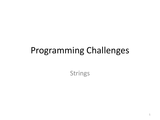#### Programming Challenges

Strings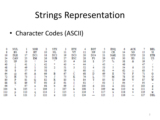• Character Codes (ASCII)

| o   | NUL.   |     | SOH |     | <b>STX</b>      | 3   | ETX        | 4   | EOT |     | ENQ        | 6   | ACK       |     | <b>BEL</b> |
|-----|--------|-----|-----|-----|-----------------|-----|------------|-----|-----|-----|------------|-----|-----------|-----|------------|
| 8.  | BS     | 9   | HT  | 10  | NL              |     | Vľ         | 12  | NР  | 13  | CR.        | 14  | SO        | 15  | SI         |
| 16  | DLE.   | 17  | DC1 | 18  | DC <sub>2</sub> | 19  | DC3        | 20  | DC4 | 21  | <b>NAK</b> | 22  | SYN       | 23  | ETB        |
| 24  | CAN    | 25  | EM  | 26  | <b>SUB</b>      | 27  | <b>ESC</b> | 28  | FS  | 29  | GS         | 30  | RS        | 31  | US         |
| 32  | SP     | 33  |     | 34  |                 | 35  | #          | 36  |     | 37  | X.         | 38  | æ.        | 39  |            |
| 40  |        | 41  |     | 42  |                 | 43  | ÷          | 44  |     | 45  |            | 46  |           | 47  |            |
| 48  |        | 49  |     | 50  |                 | 51  | 3          | 52  |     | 53  |            | 54  | 6         | 55  |            |
| 56  | 8      | 57  | 9   | 58  |                 | 50  |            | 60  | €   | 61  | ÷          | 62  | ⋗         | 63  |            |
| 64  |        | 65  | A   | 66  | в               | 67  |            | 68  | D   | 69  | E          | 70  | F         | 71  | G          |
| 72  | @<br>H | 73. |     | 74  |                 | 75  | ĸ          | 76  |     | 77  | М          | 78  | N         | 79  | ο          |
| 80  | P      | 81  |     | 82  | R               | 83  | s          | 84  | т   | 85  | U          | 86  | v         | 87  | W          |
| 88  | x      | 89  |     | 90  | z               | 91  |            | 92  |     | 93  |            | 94  | e.        | 95  |            |
| 96  |        | 97  | а   | 98  | h               | 99  | c          | 100 | đ   | 101 | e          | 102 | f         | 103 | E          |
| 104 | h      | 105 |     | 106 |                 | 107 | k          | 108 |     | 109 | m          | 110 | п         | 111 |            |
| 112 | D      | 113 | q   | 114 |                 | 115 | s.         | 116 |     | 117 | u          | 118 | w         | 119 | w          |
| 120 |        | 121 |     | 122 |                 | 123 |            | 124 |     | 125 |            | 126 | <b>PM</b> | 127 | <b>DEL</b> |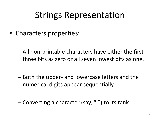- Characters properties:
	- All non-printable characters have either the first three bits as zero or all seven lowest bits as one.
	- Both the upper- and lowercase letters and the numerical digits appear sequentially.
	- Converting a character (say, "I") to its rank.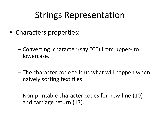- Characters properties:
	- Converting character (say "C") from upper- to lowercase.
	- The character code tells us what will happen when naively sorting text files.
	- Non-printable character codes for new-line (10) and carriage return (13).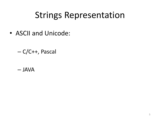- ASCII and Unicode:
	- C/C++, Pascal

– JAVA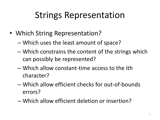- Which String Representation?
	- Which uses the least amount of space?
	- Which constrains the content of the strings which can possibly be represented?
	- Which allow constant-time access to the ith character?
	- Which allow efficient checks for out-of-bounds errors?
	- Which allow efficient deletion or insertion?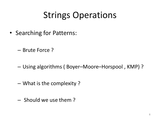### Strings Operations

- Searching for Patterns:
	- Brute Force ?
	- Using algorithms ( Boyer–Moore–Horspool , KMP) ?
	- What is the complexity ?
	- Should we use them ?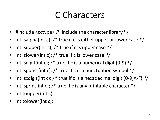#### C Characters

- #include <cctype> /\* include the character library \*/
- int isalpha(int c);  $/*$  true if c is either upper or lower case  $*/$
- int isupper(int c);  $/*$  true if c is upper case  $*/$
- int islower(int c);  $/*$  true if c is lower case  $*/$
- int isdigit(int c);  $\frac{1}{2}$  true if c is a numerical digit (0-9)  $\frac{1}{2}$
- int ispunct(int c);  $\ell^*$  true if c is a punctuation symbol  $\ell$
- int isxdigit(int c); /\* true if c is a hexadecimal digit (0-9,A-F) \*/
- int isprint(int c);  $/*$  true if c is any printable character  $*/$
- int toupper(int c);
- int tolower(int c);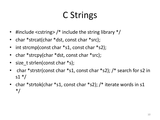## C Strings

- #include <cstring>  $/*$  include the string library  $*/$
- char \*strcat(char \*dst, const char \*src);
- int strcmp(const char \*s1, const char \*s2);
- char \*strcpy(char \*dst, const char \*src);
- size t strlen(const char \*s);
- char \*strstr(const char \*s1, const char \*s2); /\* search for s2 in  $s1 * /$
- char \*strtok(char \*s1, const char \*s2); /\* iterate words in s1 \*/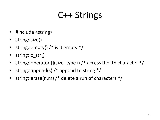#### C++ Strings

- #include <string>
- string::size()
- string::empty()  $/*$  is it empty  $*/$
- string::c\_str()
- string::operator  $[$ ](size\_type i)  $/*$  access the ith character  $*/$
- string::append(s) /\* append to string \*/
- string::erase(n,m) /\* delete a run of characters  $*/$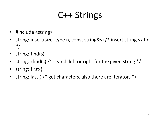## C++ Strings

- #include <string>
- string::insert(size\_type n, const string&s) /\* insert string s at n \*/
- string::find(s)
- string::rfind(s)  $/*$  search left or right for the given string  $*/$
- string::first()
- string::last() /\* get characters, also there are iterators  $*/$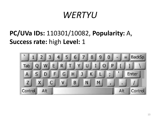#### *WERTYU*

#### **PC/UVa IDs:** 110301/10082, **Popularity:** A, **Success rate:** high **Level:** 1

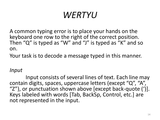## *WERTYU*

A common typing error is to place your hands on the keyboard one row to the right of the correct position. Then "Q" is typed as "W" and "J" is typed as "K" and so on.

Your task is to decode a message typed in this manner.

#### *Input*

Input consists of several lines of text. Each line may contain digits, spaces, uppercase letters (except "Q", "A", "Z"), or punctuation shown above  $\lceil$  except back-quote ('). Keys labeled with words [Tab, BackSp, Control, etc.] are not represented in the input.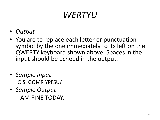## *WERTYU*

- *Output*
- You are to replace each letter or punctuation symbol by the one immediately to its left on the QWERTY keyboard shown above. Spaces in the input should be echoed in the output.
- *Sample Input* O S, GOMR YPFSU/
- *Sample Output* I AM FINE TODAY.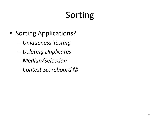## Sorting

- Sorting Applications?
	- *Uniqueness Testing*
	- *Deleting Duplicates*
	- *Median/Selection*
	- *Contest Scoreboard*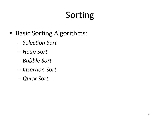## Sorting

- Basic Sorting Algorithms:
	- *Selection Sort*
	- *Heap Sort*
	- *Bubble Sort*
	- *Insertion Sort*
	- *Quick Sort*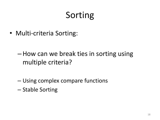## Sorting

• Multi-criteria Sorting:

- –How can we break ties in sorting using multiple criteria?
- Using complex compare functions
- Stable Sorting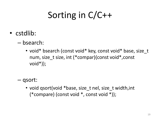## Sorting in C/C++

- cstdlib:
	- bsearch:
		- void\* bsearch (const void\* key, const void\* base, size t num, size\_t size, int (\*compar)(const void\*,const void\*));
	- qsort:
		- void qsort(void \*base, size\_t nel, size\_t width,int (\*compare) (const void \*, const void \*));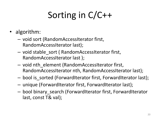# Sorting in C/C++

- algorithm:
	- void sort (RandomAccessIterator first, RandomAccessIterator last);
	- void stable\_sort ( RandomAccessIterator first, RandomAccessIterator last );
	- void nth\_element (RandomAccessIterator first, RandomAccessIterator nth, RandomAccessIterator last);
	- bool is\_sorted (ForwardIterator first, ForwardIterator last);
	- unique (ForwardIterator first, ForwardIterator last);
	- bool binary\_search (ForwardIterator first, ForwardIterator last, const T& val);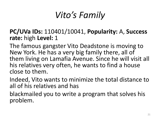## *Vito's Family*

#### **PC/UVa IDs:** 110401/10041, **Popularity:** A, **Success rate:** high **Level:** 1

The famous gangster Vito Deadstone is moving to New York. He has a very big family there, all of them living on Lamafia Avenue. Since he will visit all his relatives very often, he wants to find a house close to them.

Indeed, Vito wants to minimize the total distance to all of his relatives and has

blackmailed you to write a program that solves his problem.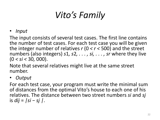# *Vito's Family*

• *Input*

The input consists of several test cases. The first line contains the number of test cases. For each test case you will be given the integer number of relatives *r* (0 *< r <* 500) and the street numbers (also integers) *s*1*, s*2*, . . . , si, . . . , sr* where they live (0 *< si <* 30*,* 000).

Note that several relatives might live at the same street number.

• *Output*

For each test case, your program must write the minimal sum of distances from the optimal Vito's house to each one of his relatives. The distance between two street numbers *si* and *sj* is *dij* = *|si − sj |*.